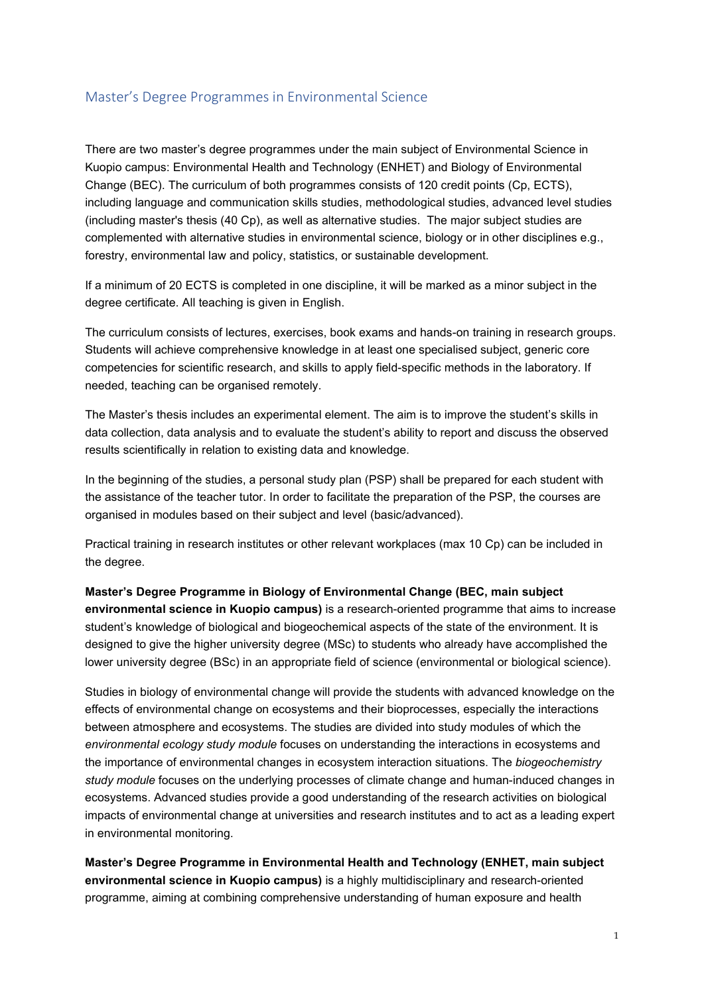# Master's Degree Programmes in Environmental Science

There are two master's degree programmes under the main subject of Environmental Science in Kuopio campus: Environmental Health and Technology (ENHET) and Biology of Environmental Change (BEC). The curriculum of both programmes consists of 120 credit points (Cp, ECTS), including language and communication skills studies, methodological studies, advanced level studies (including master's thesis (40 Cp), as well as alternative studies. The major subject studies are complemented with alternative studies in environmental science, biology or in other disciplines e.g., forestry, environmental law and policy, statistics, or sustainable development.

If a minimum of 20 ECTS is completed in one discipline, it will be marked as a minor subject in the degree certificate. All teaching is given in English.

The curriculum consists of lectures, exercises, book exams and hands-on training in research groups. Students will achieve comprehensive knowledge in at least one specialised subject, generic core competencies for scientific research, and skills to apply field-specific methods in the laboratory. If needed, teaching can be organised remotely.

The Master's thesis includes an experimental element. The aim is to improve the student's skills in data collection, data analysis and to evaluate the student's ability to report and discuss the observed results scientifically in relation to existing data and knowledge.

In the beginning of the studies, a personal study plan (PSP) shall be prepared for each student with the assistance of the teacher tutor. In order to facilitate the preparation of the PSP, the courses are organised in modules based on their subject and level (basic/advanced).

Practical training in research institutes or other relevant workplaces (max 10 Cp) can be included in the degree.

**Master's Degree Programme in Biology of Environmental Change (BEC, main subject environmental science in Kuopio campus)** is a research-oriented programme that aims to increase student's knowledge of biological and biogeochemical aspects of the state of the environment. It is designed to give the higher university degree (MSc) to students who already have accomplished the lower university degree (BSc) in an appropriate field of science (environmental or biological science).

Studies in biology of environmental change will provide the students with advanced knowledge on the effects of environmental change on ecosystems and their bioprocesses, especially the interactions between atmosphere and ecosystems. The studies are divided into study modules of which the *environmental ecology study module* focuses on understanding the interactions in ecosystems and the importance of environmental changes in ecosystem interaction situations. The *biogeochemistry study module* focuses on the underlying processes of climate change and human-induced changes in ecosystems. Advanced studies provide a good understanding of the research activities on biological impacts of environmental change at universities and research institutes and to act as a leading expert in environmental monitoring.

**Master's Degree Programme in Environmental Health and Technology (ENHET, main subject environmental science in Kuopio campus)** is a highly multidisciplinary and research-oriented programme, aiming at combining comprehensive understanding of human exposure and health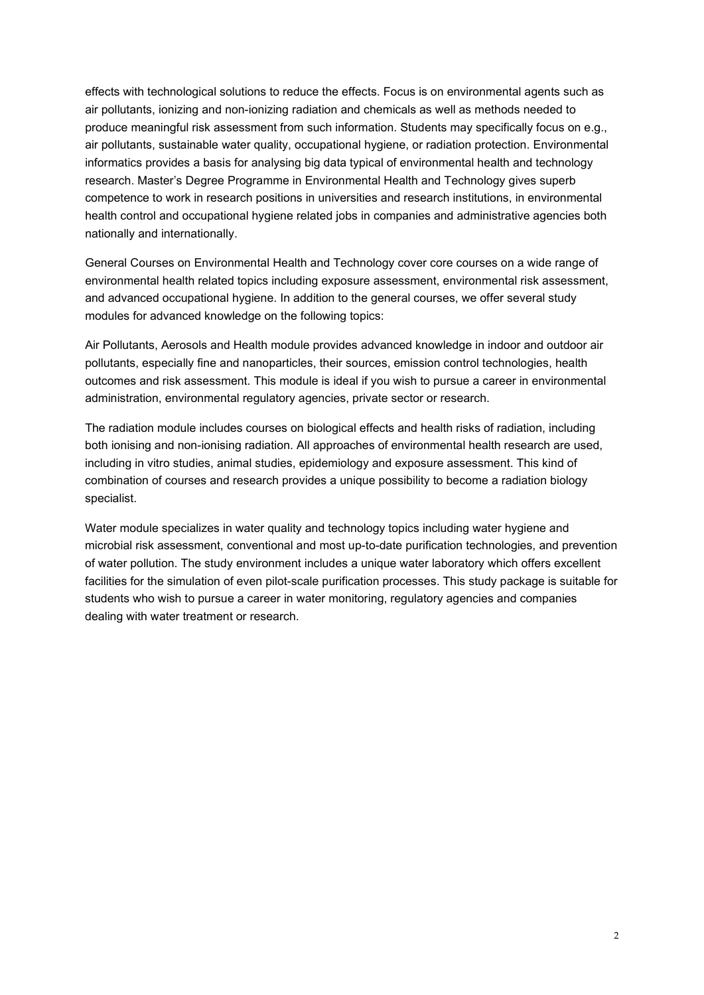effects with technological solutions to reduce the effects. Focus is on environmental agents such as air pollutants, ionizing and non-ionizing radiation and chemicals as well as methods needed to produce meaningful risk assessment from such information. Students may specifically focus on e.g., air pollutants, sustainable water quality, occupational hygiene, or radiation protection. Environmental informatics provides a basis for analysing big data typical of environmental health and technology research. Master's Degree Programme in Environmental Health and Technology gives superb competence to work in research positions in universities and research institutions, in environmental health control and occupational hygiene related jobs in companies and administrative agencies both nationally and internationally.

General Courses on Environmental Health and Technology cover core courses on a wide range of environmental health related topics including exposure assessment, environmental risk assessment, and advanced occupational hygiene. In addition to the general courses, we offer several study modules for advanced knowledge on the following topics:

Air Pollutants, Aerosols and Health module provides advanced knowledge in indoor and outdoor air pollutants, especially fine and nanoparticles, their sources, emission control technologies, health outcomes and risk assessment. This module is ideal if you wish to pursue a career in environmental administration, environmental regulatory agencies, private sector or research.

The radiation module includes courses on biological effects and health risks of radiation, including both ionising and non-ionising radiation. All approaches of environmental health research are used, including in vitro studies, animal studies, epidemiology and exposure assessment. This kind of combination of courses and research provides a unique possibility to become a radiation biology specialist.

Water module specializes in water quality and technology topics including water hygiene and microbial risk assessment, conventional and most up-to-date purification technologies, and prevention of water pollution. The study environment includes a unique water laboratory which offers excellent facilities for the simulation of even pilot-scale purification processes. This study package is suitable for students who wish to pursue a career in water monitoring, regulatory agencies and companies dealing with water treatment or research.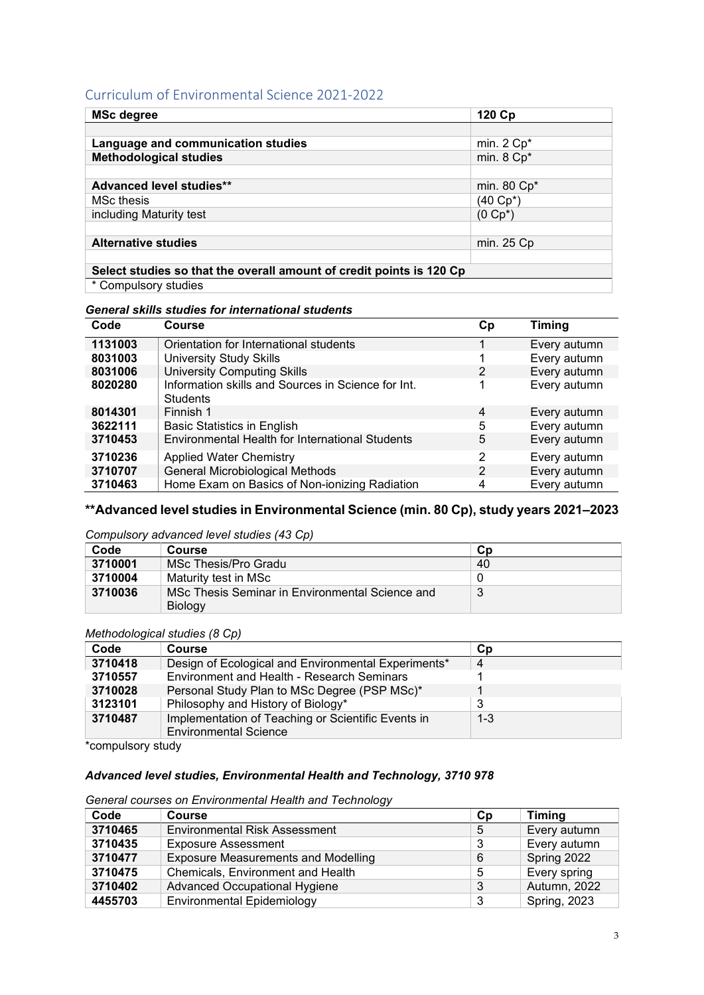## Curriculum of Environmental Science 2021-2022

| <b>MSc degree</b>                                                    | 120 Cp                   |  |
|----------------------------------------------------------------------|--------------------------|--|
|                                                                      |                          |  |
| Language and communication studies                                   | min. $2$ Cp <sup>*</sup> |  |
| <b>Methodological studies</b>                                        | min. 8 Cp*               |  |
|                                                                      |                          |  |
| <b>Advanced level studies**</b>                                      | min. 80 Cp*              |  |
| <b>MSc thesis</b>                                                    | (40 Cp*)                 |  |
| including Maturity test                                              | $(0 \text{ Cp*})$        |  |
|                                                                      |                          |  |
| <b>Alternative studies</b>                                           | min. 25 Cp               |  |
|                                                                      |                          |  |
| Select studies so that the overall amount of credit points is 120 Cp |                          |  |
| $*$ Compulsory studies                                               |                          |  |

\* Compulsory studies

#### *General skills studies for international students*

| Code    | Course                                                                | Cp | <b>Timing</b> |
|---------|-----------------------------------------------------------------------|----|---------------|
| 1131003 | Orientation for International students                                |    | Every autumn  |
| 8031003 | <b>University Study Skills</b>                                        |    | Every autumn  |
| 8031006 | <b>University Computing Skills</b>                                    | 2  | Every autumn  |
| 8020280 | Information skills and Sources in Science for Int.<br><b>Students</b> |    | Every autumn  |
| 8014301 | Finnish 1                                                             | 4  | Every autumn  |
| 3622111 | <b>Basic Statistics in English</b>                                    | 5  | Every autumn  |
| 3710453 | <b>Environmental Health for International Students</b>                | 5  | Every autumn  |
| 3710236 | <b>Applied Water Chemistry</b>                                        | 2  | Every autumn  |
| 3710707 | General Microbiological Methods                                       | 2  | Every autumn  |
| 3710463 | Home Exam on Basics of Non-ionizing Radiation                         | 4  | Every autumn  |

## **\*\*Advanced level studies in Environmental Science (min. 80 Cp), study years 2021–2023**

## *Compulsory advanced level studies (43 Cp)*

| Code    | <b>Course</b>                                   | Cp |
|---------|-------------------------------------------------|----|
| 3710001 | MSc Thesis/Pro Gradu                            | 40 |
| 3710004 | Maturity test in MSc                            |    |
| 3710036 | MSc Thesis Seminar in Environmental Science and |    |
|         | <b>Biology</b>                                  |    |

#### *Methodological studies (8 Cp)*

| Code    | <b>Course</b>                                       | <b>Cp</b> |
|---------|-----------------------------------------------------|-----------|
| 3710418 | Design of Ecological and Environmental Experiments* | 4         |
| 3710557 | Environment and Health - Research Seminars          |           |
| 3710028 | Personal Study Plan to MSc Degree (PSP MSc)*        |           |
| 3123101 | Philosophy and History of Biology*                  |           |
| 3710487 | Implementation of Teaching or Scientific Events in  | $1 - 3$   |
|         | <b>Environmental Science</b>                        |           |

\*compulsory study

## *Advanced level studies, Environmental Health and Technology, 3710 978*

#### *General courses on Environmental Health and Technology*

| Code    | <b>Course</b>                              | Сp | <b>Timing</b>       |
|---------|--------------------------------------------|----|---------------------|
| 3710465 | <b>Environmental Risk Assessment</b>       | 5  | Every autumn        |
| 3710435 | <b>Exposure Assessment</b>                 | 3  | Every autumn        |
| 3710477 | <b>Exposure Measurements and Modelling</b> | 6  | Spring 2022         |
| 3710475 | Chemicals, Environment and Health          | 5  | Every spring        |
| 3710402 | Advanced Occupational Hygiene              | 3  | Autumn, 2022        |
| 4455703 | <b>Environmental Epidemiology</b>          | 3  | <b>Spring, 2023</b> |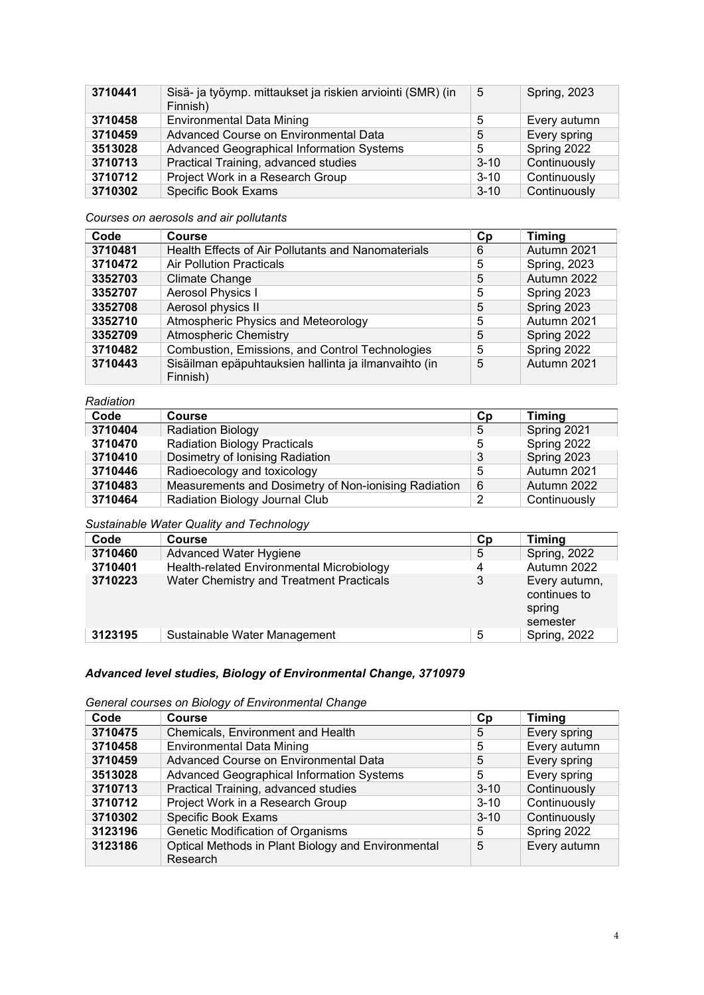| 3710441 | Sisä- ja työymp. mittaukset ja riskien arviointi (SMR) (in<br>Finnish) | 5        | <b>Spring, 2023</b> |
|---------|------------------------------------------------------------------------|----------|---------------------|
| 3710458 | <b>Environmental Data Mining</b>                                       | 5        | Every autumn        |
| 3710459 | Advanced Course on Environmental Data                                  | 5        | Every spring        |
| 3513028 | Advanced Geographical Information Systems                              | 5        | Spring 2022         |
| 3710713 | Practical Training, advanced studies                                   | $3 - 10$ | Continuously        |
| 3710712 | Project Work in a Research Group                                       | $3 - 10$ | Continuously        |
| 3710302 | <b>Specific Book Exams</b>                                             | $3 - 10$ | Continuously        |

### *Courses on aerosols and air pollutants*

| Code    | <b>Course</b>                                                    | Cp | <b>Timing</b>       |
|---------|------------------------------------------------------------------|----|---------------------|
| 3710481 | Health Effects of Air Pollutants and Nanomaterials               | 6  | Autumn 2021         |
| 3710472 | <b>Air Pollution Practicals</b>                                  | 5  | <b>Spring, 2023</b> |
| 3352703 | <b>Climate Change</b>                                            | 5  | Autumn 2022         |
| 3352707 | Aerosol Physics I                                                | 5  | Spring 2023         |
| 3352708 | Aerosol physics II                                               | 5  | Spring 2023         |
| 3352710 | Atmospheric Physics and Meteorology                              | 5  | Autumn 2021         |
| 3352709 | <b>Atmospheric Chemistry</b>                                     | 5  | Spring 2022         |
| 3710482 | Combustion, Emissions, and Control Technologies                  | 5  | Spring 2022         |
| 3710443 | Sisäilman epäpuhtauksien hallinta ja ilmanvaihto (in<br>Finnish) | 5  | Autumn 2021         |

#### *Radiation*

| Code    | <b>Course</b>                                        | Сp | <b>Timing</b> |
|---------|------------------------------------------------------|----|---------------|
| 3710404 | <b>Radiation Biology</b>                             | 5  | Spring 2021   |
| 3710470 | <b>Radiation Biology Practicals</b>                  | 5  | Spring 2022   |
| 3710410 | Dosimetry of Ionising Radiation                      | 3  | Spring 2023   |
| 3710446 | Radioecology and toxicology                          | 5  | Autumn 2021   |
| 3710483 | Measurements and Dosimetry of Non-ionising Radiation | 6  | Autumn 2022   |
| 3710464 | Radiation Biology Journal Club                       | ົ  | Continuously  |

## *Sustainable Water Quality and Technology*

| Code    | <b>Course</b>                             | Сp | <b>Timing</b>                                       |
|---------|-------------------------------------------|----|-----------------------------------------------------|
| 3710460 | Advanced Water Hygiene                    | 5  | <b>Spring, 2022</b>                                 |
| 3710401 | Health-related Environmental Microbiology | 4  | Autumn 2022                                         |
| 3710223 | Water Chemistry and Treatment Practicals  | 3  | Every autumn,<br>continues to<br>spring<br>semester |
| 3123195 | Sustainable Water Management              | 5  | <b>Spring, 2022</b>                                 |

# *Advanced level studies, Biology of Environmental Change, 3710979*

## *General courses on Biology of Environmental Change*

| Code    | <b>Course</b>                                                  | Cp       | <b>Timing</b> |
|---------|----------------------------------------------------------------|----------|---------------|
| 3710475 | Chemicals, Environment and Health                              | 5        | Every spring  |
| 3710458 | <b>Environmental Data Mining</b>                               | 5        | Every autumn  |
| 3710459 | Advanced Course on Environmental Data                          | 5        | Every spring  |
| 3513028 | Advanced Geographical Information Systems                      | 5        | Every spring  |
| 3710713 | Practical Training, advanced studies                           | $3 - 10$ | Continuously  |
| 3710712 | Project Work in a Research Group                               | $3 - 10$ | Continuously  |
| 3710302 | Specific Book Exams                                            | $3 - 10$ | Continuously  |
| 3123196 | Genetic Modification of Organisms                              | 5        | Spring 2022   |
| 3123186 | Optical Methods in Plant Biology and Environmental<br>Research | 5        | Every autumn  |